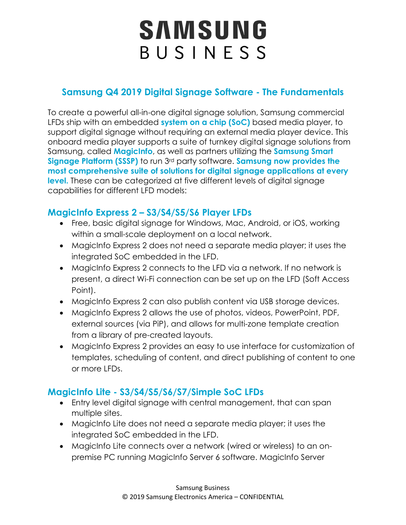# SAMSUNG BUSINESS

### **Samsung Q4 2019 Digital Signage Software - The Fundamentals**

To create a powerful all-in-one digital signage solution, Samsung commercial LFDs ship with an embedded **system on a chip (SoC)** based media player, to support digital signage without requiring an external media player device. This onboard media player supports a suite of turnkey digital signage solutions from Samsung, called **MagicInfo**, as well as partners utilizing the **Samsung Smart Signage Platform (SSSP)** to run 3rd party software. **Samsung now provides the most comprehensive suite of solutions for digital signage applications at every level.** These can be categorized at five different levels of digital signage capabilities for different LFD models:

#### **MagicInfo Express 2 – S3/S4/S5/S6 Player LFDs**

- Free, basic digital signage for Windows, Mac, Android, or iOS, working within a small-scale deployment on a local network.
- MagicInfo Express 2 does not need a separate media player; it uses the integrated SoC embedded in the LFD.
- MagicInfo Express 2 connects to the LFD via a network. If no network is present, a direct Wi-Fi connection can be set up on the LFD (Soft Access Point).
- MagicInfo Express 2 can also publish content via USB storage devices.
- MagicInfo Express 2 allows the use of photos, videos, PowerPoint, PDF, external sources (via PiP), and allows for multi-zone template creation from a library of pre-created layouts.
- MagicInfo Express 2 provides an easy to use interface for customization of templates, scheduling of content, and direct publishing of content to one or more LFDs.

#### **MagicInfo Lite - S3/S4/S5/S6/S7/Simple SoC LFDs**

- Entry level digital signage with central management, that can span multiple sites.
- MagicInfo Lite does not need a separate media player; it uses the integrated SoC embedded in the LFD.
- MagicInfo Lite connects over a network (wired or wireless) to an onpremise PC running MagicInfo Server 6 software. MagicInfo Server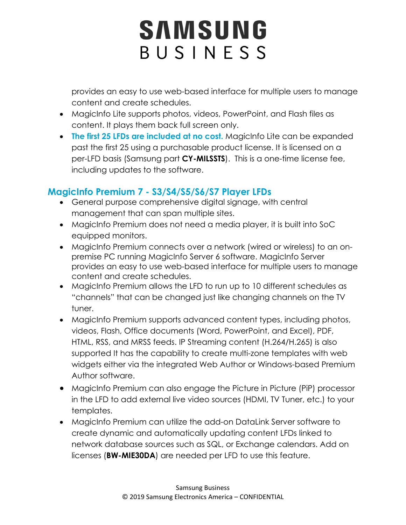# SAMSUNG BUSINESS

provides an easy to use web-based interface for multiple users to manage content and create schedules.

- MagicInfo Lite supports photos, videos, PowerPoint, and Flash files as content. It plays them back full screen only.
- **The first 25 LFDs are included at no cost.** MagicInfo Lite can be expanded past the first 25 using a purchasable product license. It is licensed on a per-LFD basis (Samsung part **CY-MILSSTS**). This is a one-time license fee, including updates to the software.

#### **MagicInfo Premium 7 - S3/S4/S5/S6/S7 Player LFDs**

- General purpose comprehensive digital signage, with central management that can span multiple sites.
- MagicInfo Premium does not need a media player, it is built into SoC equipped monitors.
- MagicInfo Premium connects over a network (wired or wireless) to an onpremise PC running MagicInfo Server 6 software. MagicInfo Server provides an easy to use web-based interface for multiple users to manage content and create schedules.
- MagicInfo Premium allows the LFD to run up to 10 different schedules as "channels" that can be changed just like changing channels on the TV tuner.
- MagicInfo Premium supports advanced content types, including photos, videos, Flash, Office documents (Word, PowerPoint, and Excel), PDF, HTML, RSS, and MRSS feeds. IP Streaming content (H.264/H.265) is also supported It has the capability to create multi-zone templates with web widgets either via the integrated Web Author or Windows-based Premium Author software.
- MagicInfo Premium can also engage the Picture in Picture (PiP) processor in the LFD to add external live video sources (HDMI, TV Tuner, etc.) to your templates.
- MagicInfo Premium can utilize the add-on DataLink Server software to create dynamic and automatically updating content LFDs linked to network database sources such as SQL, or Exchange calendars. Add on licenses (**BW-MIE30DA**) are needed per LFD to use this feature.